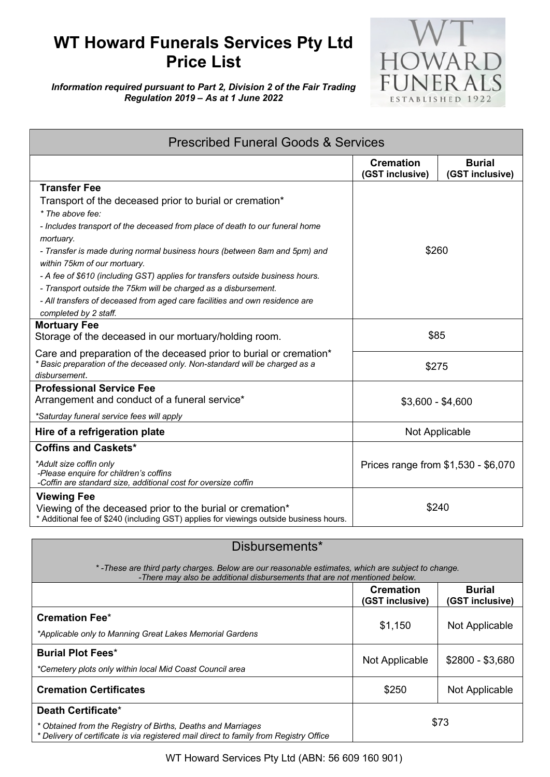## **WT Howard Funerals Services Pty Ltd Price List**



*Information required pursuant to Part 2, Division 2 of the Fair Trading Regulation 2019 – As at 1 June 2022*

| <b>Prescribed Funeral Goods &amp; Services</b>                                                                                                                     |                                     |                                  |  |
|--------------------------------------------------------------------------------------------------------------------------------------------------------------------|-------------------------------------|----------------------------------|--|
|                                                                                                                                                                    | <b>Cremation</b><br>(GST inclusive) | <b>Burial</b><br>(GST inclusive) |  |
| <b>Transfer Fee</b>                                                                                                                                                |                                     |                                  |  |
| Transport of the deceased prior to burial or cremation*                                                                                                            | \$260                               |                                  |  |
| * The above fee:                                                                                                                                                   |                                     |                                  |  |
| - Includes transport of the deceased from place of death to our funeral home<br>mortuary.                                                                          |                                     |                                  |  |
| - Transfer is made during normal business hours (between 8am and 5pm) and<br>within 75km of our mortuary.                                                          |                                     |                                  |  |
| - A fee of \$610 (including GST) applies for transfers outside business hours.                                                                                     |                                     |                                  |  |
| - Transport outside the 75km will be charged as a disbursement.                                                                                                    |                                     |                                  |  |
| - All transfers of deceased from aged care facilities and own residence are                                                                                        |                                     |                                  |  |
| completed by 2 staff.                                                                                                                                              |                                     |                                  |  |
| <b>Mortuary Fee</b>                                                                                                                                                |                                     |                                  |  |
| Storage of the deceased in our mortuary/holding room.                                                                                                              | \$85                                |                                  |  |
| Care and preparation of the deceased prior to burial or cremation*<br>* Basic preparation of the deceased only. Non-standard will be charged as a<br>disbursement. | \$275                               |                                  |  |
| <b>Professional Service Fee</b>                                                                                                                                    |                                     |                                  |  |
| Arrangement and conduct of a funeral service*                                                                                                                      | $$3,600 - $4,600$                   |                                  |  |
| *Saturday funeral service fees will apply                                                                                                                          |                                     |                                  |  |
| Hire of a refrigeration plate                                                                                                                                      | Not Applicable                      |                                  |  |
| <b>Coffins and Caskets*</b>                                                                                                                                        |                                     |                                  |  |
| *Adult size coffin only<br>-Please enquire for children's coffins<br>-Coffin are standard size, additional cost for oversize coffin                                | Prices range from \$1,530 - \$6,070 |                                  |  |
| <b>Viewing Fee</b>                                                                                                                                                 |                                     |                                  |  |
| Viewing of the deceased prior to the burial or cremation*<br>* Additional fee of \$240 (including GST) applies for viewings outside business hours.                | \$240                               |                                  |  |

## Disbursements\*

*\* -These are third party charges. Below are our reasonable estimates, which are subject to change. -There may also be additional disbursements that are not mentioned below.*

|                                                                                                                                                                              | <b>Cremation</b><br>(GST inclusive) | <b>Burial</b><br>(GST inclusive) |
|------------------------------------------------------------------------------------------------------------------------------------------------------------------------------|-------------------------------------|----------------------------------|
| <b>Cremation Fee*</b><br>*Applicable only to Manning Great Lakes Memorial Gardens                                                                                            | \$1,150                             | Not Applicable                   |
| <b>Burial Plot Fees*</b><br>*Cemetery plots only within local Mid Coast Council area                                                                                         | Not Applicable                      | $$2800 - $3,680$                 |
| <b>Cremation Certificates</b>                                                                                                                                                | \$250                               | Not Applicable                   |
| Death Certificate*<br>* Obtained from the Registry of Births, Deaths and Marriages<br>* Delivery of certificate is via registered mail direct to family from Registry Office | \$73                                |                                  |

WT Howard Services Pty Ltd (ABN: 56 609 160 901)